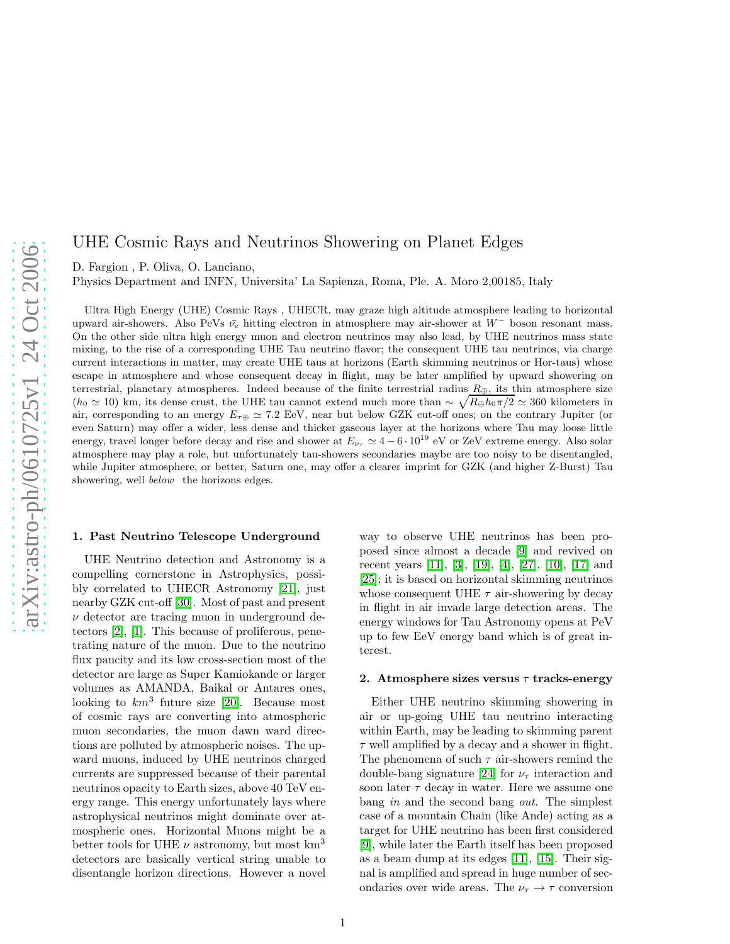# UHE Cosmic Rays and Neutrinos Showering on Planet Edges

D. Fargion , P. Oliva, O. Lanciano,

Physics Department and INFN, Universita' La Sapienza, Roma, Ple. A. Moro 2,00185, Italy

Ultra High Energy (UHE) Cosmic Rays , UHECR, may graze high altitude atmosphere leading to horizontal upward air-showers. Also PeVs  $\bar{\nu}_e$  hitting electron in atmosphere may air-shower at W<sup>−</sup> boson resonant mass. On the other side ultra high energy muon and electron neutrinos may also lead, by UHE neutrinos mass state mixing, to the rise of a corresponding UHE Tau neutrino flavor; the consequent UHE tau neutrinos, via charge current interactions in matter, may create UHE taus at horizons (Earth skimming neutrinos or Hor-taus) whose escape in atmosphere and whose consequent decay in flight, may be later amplified by upward showering on terrestrial, planetary atmospheres. Indeed because of the finite terrestrial radius  $R_{\oplus}$ , its thin atmosphere size  $(h_0 \approx 10)$  km, its dense crust, the UHE tau cannot extend much more than  $\sim \sqrt{R_{\oplus}h_0\pi/2} \approx 360$  kilometers in air, corresponding to an energy  $E_{\tau\oplus} \simeq 7.2$  EeV, near but below GZK cut-off ones; on the contrary Jupiter (or even Saturn) may offer a wider, less dense and thicker gaseous layer at the horizons where Tau may loose little energy, travel longer before decay and rise and shower at  $E_{\nu_{\tau}} \simeq 4-6 \cdot 10^{19}$  eV or ZeV extreme energy. Also solar atmosphere may play a role, but unfortunately tau-showers secondaries maybe are too noisy to be disentangled, while Jupiter atmosphere, or better, Saturn one, may offer a clearer imprint for GZK (and higher Z-Burst) Tau showering, well *below* the horizons edges.

#### 1. Past Neutrino Telescope Underground

UHE Neutrino detection and Astronomy is a compelling cornerstone in Astrophysics, possibly correlated to UHECR Astronomy [\[21\]](#page-7-0), just nearby GZK cut-off [\[30\]](#page-7-1). Most of past and present  $\nu$  detector are tracing muon in underground detectors [\[2\]](#page-6-0), [\[1\]](#page-6-1). This because of proliferous, penetrating nature of the muon. Due to the neutrino flux paucity and its low cross-section most of the detector are large as Super Kamiokande or larger volumes as AMANDA, Baikal or Antares ones, looking to  $km^3$  future size [\[20\]](#page-7-2). Because most of cosmic rays are converting into atmospheric muon secondaries, the muon dawn ward directions are polluted by atmospheric noises. The upward muons, induced by UHE neutrinos charged currents are suppressed because of their parental neutrinos opacity to Earth sizes, above 40 TeV energy range. This energy unfortunately lays where astrophysical neutrinos might dominate over atmospheric ones. Horizontal Muons might be a better tools for UHE  $\nu$  astronomy, but most km<sup>3</sup> detectors are basically vertical string unable to disentangle horizon directions. However a novel way to observe UHE neutrinos has been proposed since almost a decade [\[9\]](#page-6-2) and revived on recent years [11], [\[3\]](#page-6-3), [\[19\]](#page-7-3), [\[4\]](#page-6-4), [\[27\]](#page-7-4), [\[10\]](#page-6-5), [\[17\]](#page-7-5) and [25]; it is based on horizontal skimming neutrinos whose consequent UHE  $\tau$  air-showering by decay in flight in air invade large detection areas. The energy windows for Tau Astronomy opens at PeV up to few EeV energy band which is of great interest.

#### 2. Atmosphere sizes versus  $\tau$  tracks-energy

Either UHE neutrino skimming showering in air or up-going UHE tau neutrino interacting within Earth, may be leading to skimming parent  $\tau$  well amplified by a decay and a shower in flight. The phenomena of such  $\tau$  air-showers remind the double-bang signature [24] for  $\nu_{\tau}$  interaction and soon later  $\tau$  decay in water. Here we assume one bang in and the second bang *out*. The simplest case of a mountain Chain (like Ande) acting as a target for UHE neutrino has been first considered [\[9\]](#page-6-2), while later the Earth itself has been proposed as a beam dump at its edges [11], [\[15\]](#page-7-6). Their signal is amplified and spread in huge number of secondaries over wide areas. The  $\nu_{\tau} \rightarrow \tau$  conversion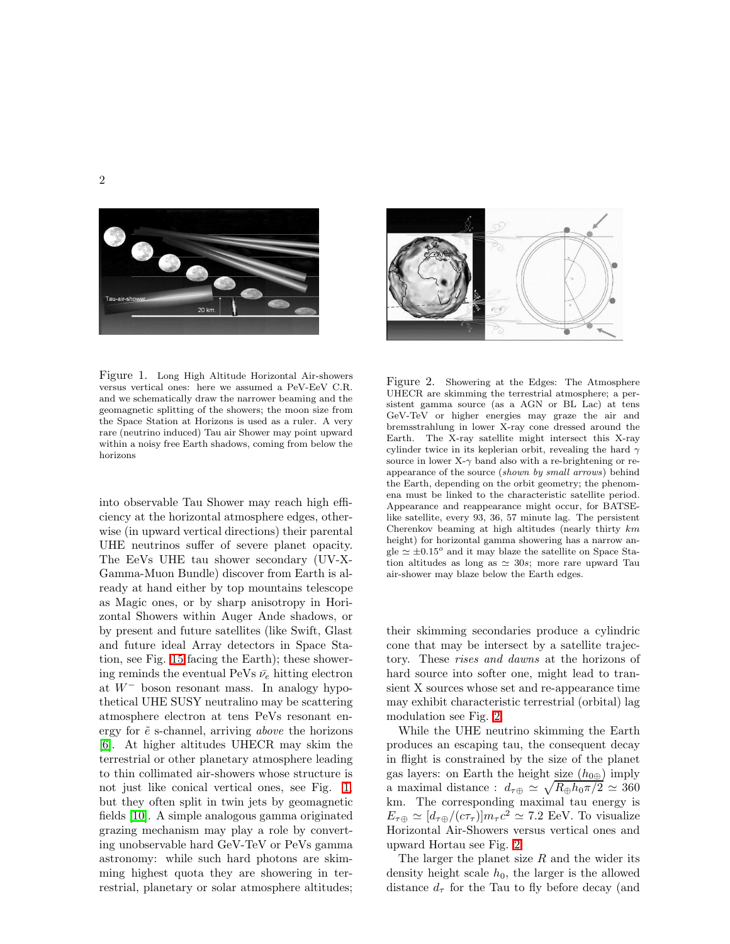



<span id="page-1-0"></span>Figure 1. Long High Altitude Horizontal Air-showers versus vertical ones: here we assumed a PeV-EeV C.R. and we schematically draw the narrower beaming and the geomagnetic splitting of the showers; the moon size from the Space Station at Horizons is used as a ruler. A very rare (neutrino induced) Tau air Shower may point upward within a noisy free Earth shadows, coming from below the horizons

into observable Tau Shower may reach high efficiency at the horizontal atmosphere edges, otherwise (in upward vertical directions) their parental UHE neutrinos suffer of severe planet opacity. The EeVs UHE tau shower secondary (UV-X-Gamma-Muon Bundle) discover from Earth is already at hand either by top mountains telescope as Magic ones, or by sharp anisotropy in Horizontal Showers within Auger Ande shadows, or by present and future satellites (like Swift, Glast and future ideal Array detectors in Space Station, see Fig. [15](#page-6-6) facing the Earth); these showering reminds the eventual PeVs  $\bar{\nu}_e$  hitting electron at  $W^-$  boson resonant mass. In analogy hypothetical UHE SUSY neutralino may be scattering atmosphere electron at tens PeVs resonant energy for  $\tilde{e}$  s-channel, arriving *above* the horizons [\[6\]](#page-6-7). At higher altitudes UHECR may skim the terrestrial or other planetary atmosphere leading to thin collimated air-showers whose structure is not just like conical vertical ones, see Fig. [1,](#page-1-0) but they often split in twin jets by geomagnetic fields [\[10\]](#page-6-5). A simple analogous gamma originated grazing mechanism may play a role by converting unobservable hard GeV-TeV or PeVs gamma astronomy: while such hard photons are skimming highest quota they are showering in terrestrial, planetary or solar atmosphere altitudes;

<span id="page-1-1"></span>Figure 2. Showering at the Edges: The Atmosphere UHECR are skimming the terrestrial atmosphere; a persistent gamma source (as a AGN or BL Lac) at tens GeV-TeV or higher energies may graze the air and bremsstrahlung in lower X-ray cone dressed around the Earth. The X-ray satellite might intersect this X-ray cylinder twice in its keplerian orbit, revealing the hard  $\gamma$ source in lower X- $\gamma$  band also with a re-brightening or reappearance of the source (shown by small arrows) behind the Earth, depending on the orbit geometry; the phenomena must be linked to the characteristic satellite period. Appearance and reappearance might occur, for BATSElike satellite, every 93, 36, 57 minute lag. The persistent Cherenkov beaming at high altitudes (nearly thirty km height) for horizontal gamma showering has a narrow angle  $\simeq \pm 0.15^{\circ}$  and it may blaze the satellite on Space Station altitudes as long as  $\simeq$  30s; more rare upward Tau air-shower may blaze below the Earth edges.

their skimming secondaries produce a cylindric cone that may be intersect by a satellite trajectory. These rises and dawns at the horizons of hard source into softer one, might lead to transient X sources whose set and re-appearance time may exhibit characteristic terrestrial (orbital) lag modulation see Fig. [2.](#page-1-1)

While the UHE neutrino skimming the Earth produces an escaping tau, the consequent decay in flight is constrained by the size of the planet gas layers: on Earth the height size  $(h_{0\oplus})$  imply a maximal distance :  $d_{\tau \oplus} \simeq \sqrt{R_{\oplus} h_0 \pi/2} \simeq 360$ km. The corresponding maximal tau energy is  $E_{\tau \oplus} \simeq [d_{\tau \oplus}/(c\tau_{\tau})] m_{\tau} c^2 \simeq 7.2$  EeV. To visualize Horizontal Air-Showers versus vertical ones and upward Hortau see Fig. [2.](#page-1-1)

The larger the planet size  $R$  and the wider its density height scale  $h_0$ , the larger is the allowed distance  $d_{\tau}$  for the Tau to fly before decay (and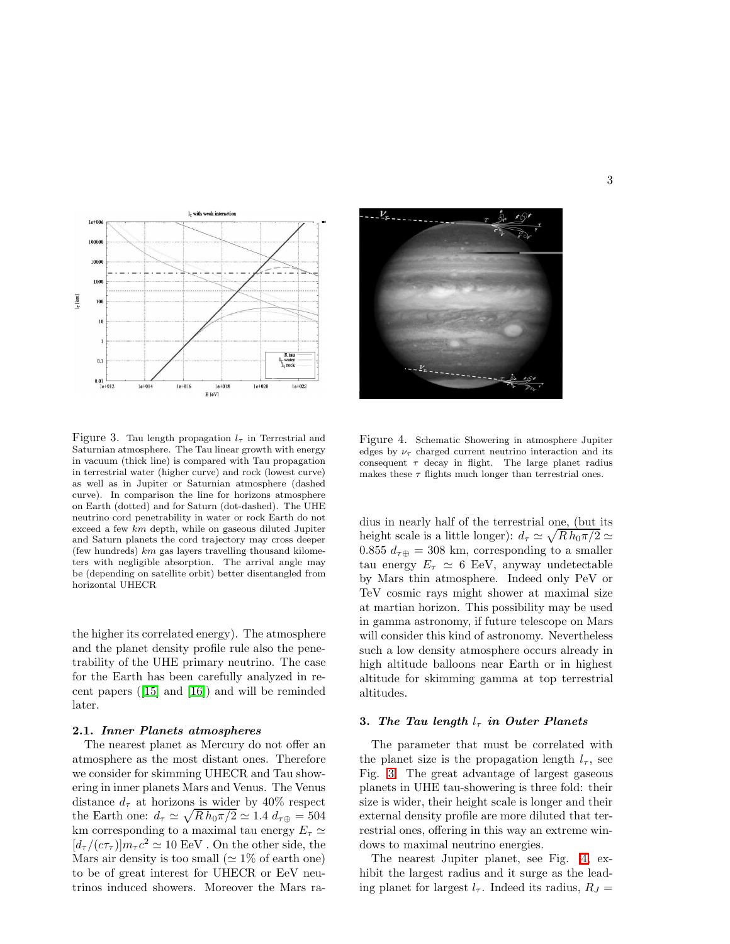

<span id="page-2-0"></span>Figure 3. Tau length propagation  $l<sub>\tau</sub>$  in Terrestrial and Saturnian atmosphere. The Tau linear growth with energy in vacuum (thick line) is compared with Tau propagation in terrestrial water (higher curve) and rock (lowest curve) as well as in Jupiter or Saturnian atmosphere (dashed curve). In comparison the line for horizons atmosphere on Earth (dotted) and for Saturn (dot-dashed). The UHE neutrino cord penetrability in water or rock Earth do not exceed a few km depth, while on gaseous diluted Jupiter and Saturn planets the cord trajectory may cross deeper (few hundreds)  $km$  gas layers travelling thousand kilometers with negligible absorption. The arrival angle may be (depending on satellite orbit) better disentangled from horizontal UHECR

the higher its correlated energy). The atmosphere and the planet density profile rule also the penetrability of the UHE primary neutrino. The case for the Earth has been carefully analyzed in recent papers ([\[15\]](#page-7-6) and [\[16\]](#page-7-7)) and will be reminded later.

#### 2.1. Inner Planets atmospheres

The nearest planet as Mercury do not offer an atmosphere as the most distant ones. Therefore we consider for skimming UHECR and Tau showering in inner planets Mars and Venus. The Venus distance  $d_{\tau}$  at horizons is wider by 40% respect the Earth one:  $d_{\tau} \simeq \sqrt{R h_0 \pi/2} \simeq 1.4 d_{\tau \oplus} = 504$ km corresponding to a maximal tau energy  $E<sub>\tau</sub> \simeq$  $[d_{\tau}/(c\tau_{\tau})]m_{\tau}c^2 \simeq 10$  EeV. On the other side, the Mars air density is too small ( $\simeq$  1% of earth one) to be of great interest for UHECR or EeV neutrinos induced showers. Moreover the Mars ra-



Figure 4. Schematic Showering in atmosphere Jupiter edges by  $\nu_{\tau}$  charged current neutrino interaction and its consequent  $\tau$  decay in flight. The large planet radius makes these  $\tau$  flights much longer than terrestrial ones.

<span id="page-2-1"></span>dius in nearly half of the terrestrial one, (but its height scale is a little longer):  $d_{\tau} \simeq \sqrt{R h_0 \pi/2} \simeq$ 0.855  $d_{\tau \oplus} = 308$  km, corresponding to a smaller tau energy  $E_{\tau} \simeq 6$  EeV, anyway undetectable by Mars thin atmosphere. Indeed only PeV or TeV cosmic rays might shower at maximal size at martian horizon. This possibility may be used in gamma astronomy, if future telescope on Mars will consider this kind of astronomy. Nevertheless such a low density atmosphere occurs already in high altitude balloons near Earth or in highest altitude for skimming gamma at top terrestrial altitudes.

# 3. The Tau length  $l_{\tau}$  in Outer Planets

The parameter that must be correlated with the planet size is the propagation length  $l_{\tau}$ , see Fig. [3.](#page-2-0) The great advantage of largest gaseous planets in UHE tau-showering is three fold: their size is wider, their height scale is longer and their external density profile are more diluted that terrestrial ones, offering in this way an extreme windows to maximal neutrino energies.

The nearest Jupiter planet, see Fig. [4,](#page-2-1) exhibit the largest radius and it surge as the leading planet for largest  $l_{\tau}$ . Indeed its radius,  $R_J =$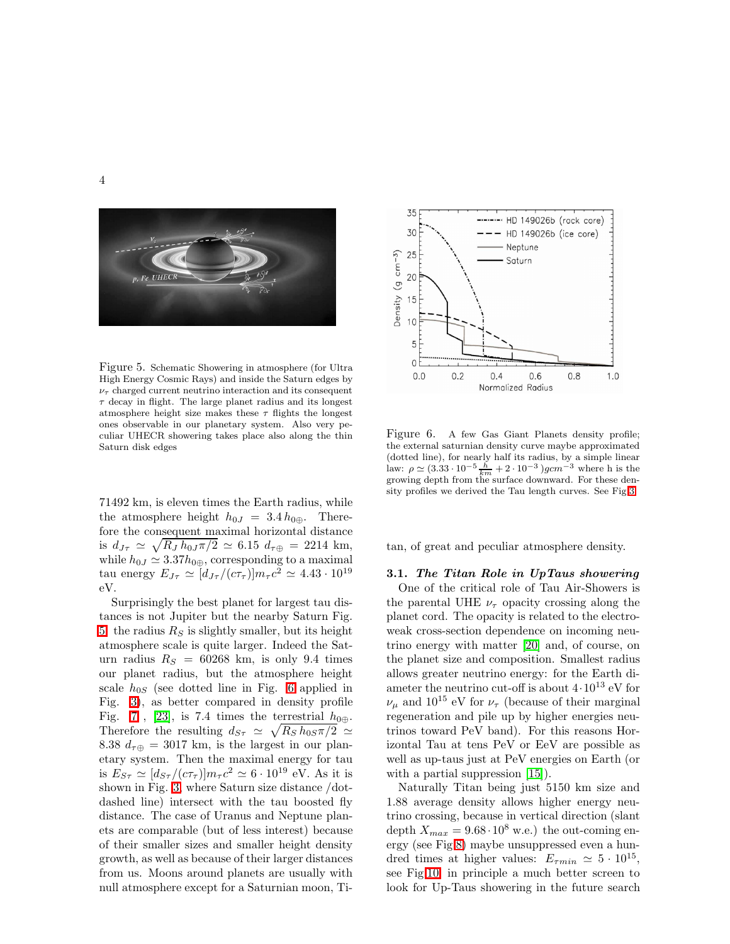

Figure 5. Schematic Showering in atmosphere (for Ultra High Energy Cosmic Rays) and inside the Saturn edges by  $\nu_{\tau}$  charged current neutrino interaction and its consequent  $\tau$  decay in flight. The large planet radius and its longest atmosphere height size makes these  $\tau$  flights the longest ones observable in our planetary system. Also very peculiar UHECR showering takes place also along the thin Saturn disk edges

<span id="page-3-0"></span>71492 km, is eleven times the Earth radius, while the atmosphere height  $h_{0J} = 3.4 h_{0\oplus}$ . Therefore the consequent maximal horizontal distance is  $d_{J\tau} \simeq \sqrt{R_J h_{0J} \pi/2} \simeq 6.15 d_{\tau \oplus} = 2214 \text{ km},$ while  $h_{0J} \simeq 3.37h_{0\oplus}$ , corresponding to a maximal tau energy  $E_{J\tau} \simeq [d_{J\tau}/(c\tau_{\tau})]m_{\tau}c^2 \simeq 4.43\cdot 10^{19}$ eV.

Surprisingly the best planet for largest tau distances is not Jupiter but the nearby Saturn Fig. [5:](#page-3-0) the radius  $R<sub>S</sub>$  is slightly smaller, but its height atmosphere scale is quite larger. Indeed the Saturn radius  $R<sub>S</sub> = 60268$  km, is only 9.4 times our planet radius, but the atmosphere height scale  $h_{0S}$  (see dotted line in Fig. [6](#page-3-1) applied in Fig. [3\)](#page-2-0), as better compared in density profile Fig. [7](#page-4-0), [\[23\]](#page-7-8), is 7.4 times the terrestrial  $h_{0\oplus}$ . Therefore the resulting  $d_{S_{\tau}} \simeq \sqrt{R_S h_{0S} \pi/2} \simeq$ 8.38  $d_{\tau \oplus} = 3017$  km, is the largest in our planetary system. Then the maximal energy for tau is  $E_{S\tau} \simeq [d_{S\tau}/(c\tau_{\tau})]m_{\tau}c^2 \simeq 6 \cdot 10^{19}$  eV. As it is shown in Fig. [3,](#page-2-0) where Saturn size distance /dotdashed line) intersect with the tau boosted fly distance. The case of Uranus and Neptune planets are comparable (but of less interest) because of their smaller sizes and smaller height density growth, as well as because of their larger distances from us. Moons around planets are usually with null atmosphere except for a Saturnian moon, Ti-



<span id="page-3-1"></span>Figure 6. A few Gas Giant Planets density profile; the external saturnian density curve maybe approximated (dotted line), for nearly half its radius, by a simple linear law:  $\rho \simeq (3.33 \cdot 10^{-5} \frac{\hbar}{km} + 2 \cdot 10^{-3} )gcm^{-3}$  where h is the growing depth from the surface downward. For these density profiles we derived the Tau length curves. See Fig[.3.](#page-2-0)

tan, of great and peculiar atmosphere density.

#### 3.1. The Titan Role in UpTaus showering

One of the critical role of Tau Air-Showers is the parental UHE  $\nu_{\tau}$  opacity crossing along the planet cord. The opacity is related to the electroweak cross-section dependence on incoming neutrino energy with matter [\[20\]](#page-7-2) and, of course, on the planet size and composition. Smallest radius allows greater neutrino energy: for the Earth diameter the neutrino cut-off is about  $4 \cdot 10^{13}$  eV for  $\nu_{\mu}$  and 10<sup>15</sup> eV for  $\nu_{\tau}$  (because of their marginal regeneration and pile up by higher energies neutrinos toward PeV band). For this reasons Horizontal Tau at tens PeV or EeV are possible as well as up-taus just at PeV energies on Earth (or with a partial suppression  $[15]$ .

Naturally Titan being just 5150 km size and 1.88 average density allows higher energy neutrino crossing, because in vertical direction (slant depth  $X_{max} = 9.68 \cdot 10^8$  w.e.) the out-coming energy (see Fig[.8\)](#page-4-1) maybe unsuppressed even a hundred times at higher values:  $E_{\tau min} \simeq 5 \cdot 10^{15}$ , see Fig[.10,](#page-5-0) in principle a much better screen to look for Up-Taus showering in the future search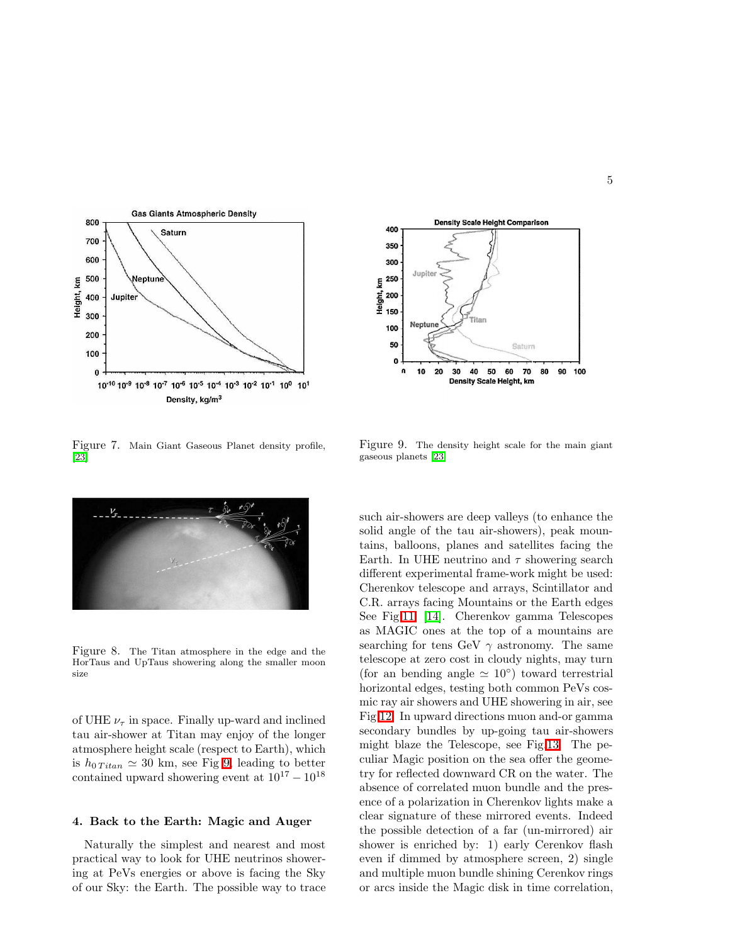

<span id="page-4-0"></span>Figure 7. Main Giant Gaseous Planet density profile, [\[23\]](#page-7-8)



Figure 8. The Titan atmosphere in the edge and the HorTaus and UpTaus showering along the smaller moon size

<span id="page-4-1"></span>of UHE  $\nu_{\tau}$  in space. Finally up-ward and inclined tau air-shower at Titan may enjoy of the longer atmosphere height scale (respect to Earth), which is  $h_{0\text{ Titan}} \approx 30 \text{ km}$ , see Fig [9,](#page-4-2) leading to better contained upward showering event at  $10^{17} - 10^{18}$ 

# 4. Back to the Earth: Magic and Auger

Naturally the simplest and nearest and most practical way to look for UHE neutrinos showering at PeVs energies or above is facing the Sky of our Sky: the Earth. The possible way to trace



<span id="page-4-2"></span>Figure 9. The density height scale for the main giant gaseous planets [\[23\]](#page-7-8)

such air-showers are deep valleys (to enhance the solid angle of the tau air-showers), peak mountains, balloons, planes and satellites facing the Earth. In UHE neutrino and  $\tau$  showering search different experimental frame-work might be used: Cherenkov telescope and arrays, Scintillator and C.R. arrays facing Mountains or the Earth edges See Fig[.11,](#page-5-1) [\[14\]](#page-7-9). Cherenkov gamma Telescopes as MAGIC ones at the top of a mountains are searching for tens GeV  $\gamma$  astronomy. The same telescope at zero cost in cloudy nights, may turn (for an bending angle  $\simeq 10^{\circ}$ ) toward terrestrial horizontal edges, testing both common PeVs cosmic ray air showers and UHE showering in air, see Fig[.12.](#page-5-2) In upward directions muon and-or gamma secondary bundles by up-going tau air-showers might blaze the Telescope, see Fig[.13.](#page-5-3) The peculiar Magic position on the sea offer the geometry for reflected downward CR on the water. The absence of correlated muon bundle and the presence of a polarization in Cherenkov lights make a clear signature of these mirrored events. Indeed the possible detection of a far (un-mirrored) air shower is enriched by: 1) early Cerenkov flash even if dimmed by atmosphere screen, 2) single and multiple muon bundle shining Cerenkov rings or arcs inside the Magic disk in time correlation,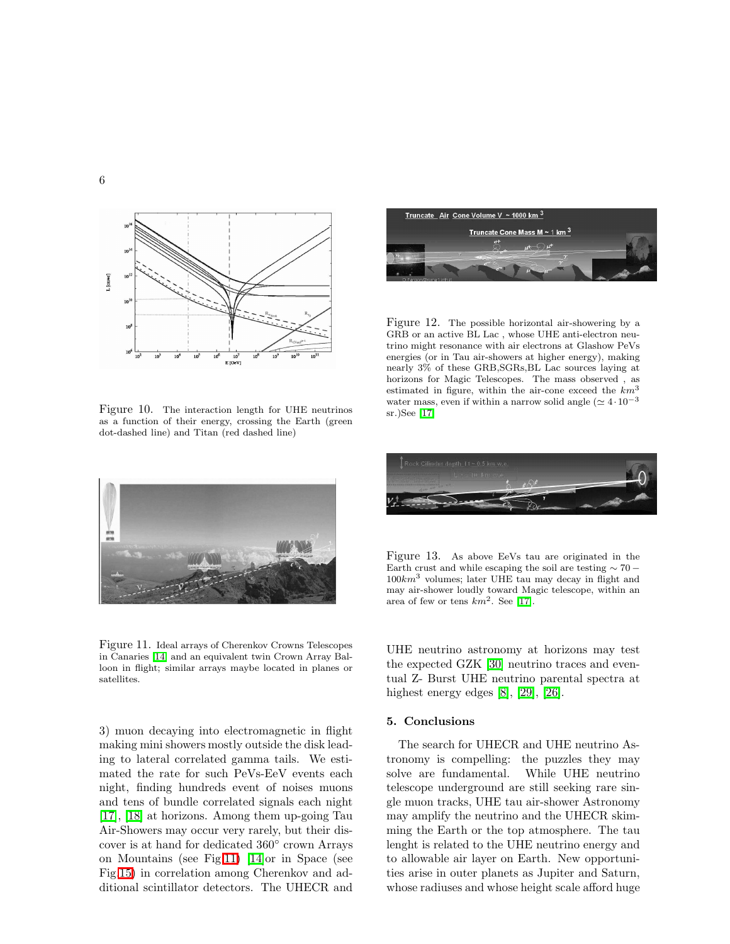

<span id="page-5-0"></span>Figure 10. The interaction length for UHE neutrinos as a function of their energy, crossing the Earth (green dot-dashed line) and Titan (red dashed line)



Figure 11. Ideal arrays of Cherenkov Crowns Telescopes in Canaries [\[14\]](#page-7-9) and an equivalent twin Crown Array Balloon in flight; similar arrays maybe located in planes or satellites.

<span id="page-5-1"></span>3) muon decaying into electromagnetic in flight making mini showers mostly outside the disk leading to lateral correlated gamma tails. We estimated the rate for such PeVs-EeV events each night, finding hundreds event of noises muons and tens of bundle correlated signals each night [\[17\]](#page-7-5), [\[18\]](#page-7-10) at horizons. Among them up-going Tau Air-Showers may occur very rarely, but their discover is at hand for dedicated 360◦ crown Arrays on Mountains (see Fig[.11\)](#page-5-1) [\[14\]](#page-7-9)or in Space (see Fig[.15\)](#page-6-6) in correlation among Cherenkov and additional scintillator detectors. The UHECR and

<span id="page-5-2"></span>

Figure 12. The possible horizontal air-showering by a GRB or an active BL Lac , whose UHE anti-electron neutrino might resonance with air electrons at Glashow PeVs energies (or in Tau air-showers at higher energy), making nearly 3% of these GRB,SGRs,BL Lac sources laying at horizons for Magic Telescopes. The mass observed , as estimated in figure, within the air-cone exceed the  $km^3$ water mass, even if within a narrow solid angle ( $\simeq 4 \cdot 10^{-3}$ ) sr.)See [\[17\]](#page-7-5)



<span id="page-5-3"></span>Figure 13. As above EeVs tau are originated in the Earth crust and while escaping the soil are testing  $\sim 70$  −  $100km^3$  volumes; later UHE tau may decay in flight and may air-shower loudly toward Magic telescope, within an area of few or tens  $km^2$ . See [\[17\]](#page-7-5).

UHE neutrino astronomy at horizons may test the expected GZK [\[30\]](#page-7-1) neutrino traces and eventual Z- Burst UHE neutrino parental spectra at highest energy edges [\[8\]](#page-6-8), [\[29\]](#page-7-11), [\[26\]](#page-7-12).

# 5. Conclusions

The search for UHECR and UHE neutrino Astronomy is compelling: the puzzles they may solve are fundamental. While UHE neutrino telescope underground are still seeking rare single muon tracks, UHE tau air-shower Astronomy may amplify the neutrino and the UHECR skimming the Earth or the top atmosphere. The tau lenght is related to the UHE neutrino energy and to allowable air layer on Earth. New opportunities arise in outer planets as Jupiter and Saturn, whose radiuses and whose height scale afford huge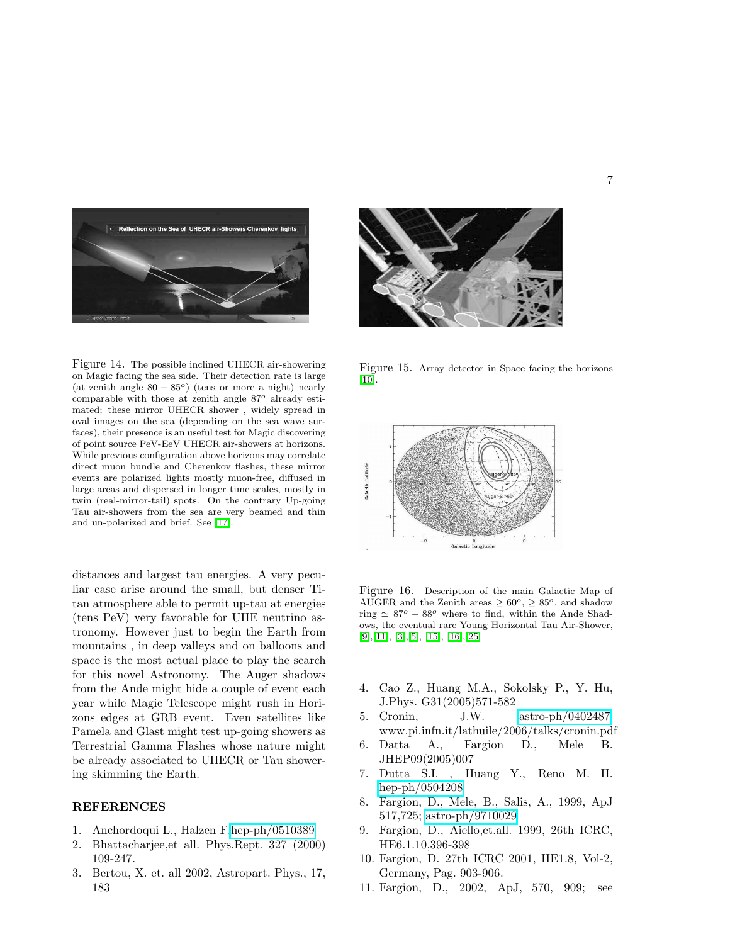



Figure 14. The possible inclined UHECR air-showering on Magic facing the sea side. Their detection rate is large (at zenith angle  $80 - 85^{\circ}$ ) (tens or more a night) nearly comparable with those at zenith angle  $87^o$  already estimated; these mirror UHECR shower , widely spread in oval images on the sea (depending on the sea wave surfaces), their presence is an useful test for Magic discovering of point source PeV-EeV UHECR air-showers at horizons. While previous configuration above horizons may correlate direct muon bundle and Cherenkov flashes, these mirror events are polarized lights mostly muon-free, diffused in large areas and dispersed in longer time scales, mostly in twin (real-mirror-tail) spots. On the contrary Up-going Tau air-showers from the sea are very beamed and thin and un-polarized and brief. See [\[17\]](#page-7-5).

distances and largest tau energies. A very peculiar case arise around the small, but denser Titan atmosphere able to permit up-tau at energies (tens PeV) very favorable for UHE neutrino astronomy. However just to begin the Earth from mountains , in deep valleys and on balloons and space is the most actual place to play the search for this novel Astronomy. The Auger shadows from the Ande might hide a couple of event each year while Magic Telescope might rush in Horizons edges at GRB event. Even satellites like Pamela and Glast might test up-going showers as Terrestrial Gamma Flashes whose nature might be already associated to UHECR or Tau showering skimming the Earth.

# <span id="page-6-1"></span>REFERENCES

- <span id="page-6-0"></span>1. Anchordoqui L., Halzen F[.hep-ph/0510389](http://arxiv.org/abs/hep-ph/0510389)
- 2. Bhattacharjee,et all. Phys.Rept. 327 (2000) 109-247.
- <span id="page-6-3"></span>3. Bertou, X. et. all 2002, Astropart. Phys., 17, 183

<span id="page-6-6"></span>Figure 15. Array detector in Space facing the horizons [\[10\]](#page-6-5).



Figure 16. Description of the main Galactic Map of AUGER and the Zenith areas  $\geq 60^{\circ}$ ,  $\geq 85^{\circ}$ , and shadow ring  $\simeq 87^\circ - 88^\circ$  where to find, within the Ande Shadows, the eventual rare Young Horizontal Tau Air-Shower, [\[9\]](#page-6-2),[11], [\[3\]](#page-6-3),[\[5\]](#page-6-9), [\[15\]](#page-7-6), [\[16\]](#page-7-7),[25]

- <span id="page-6-9"></span><span id="page-6-4"></span>4. Cao Z., Huang M.A., Sokolsky P., Y. Hu, J.Phys. G31(2005)571-582
- 5. Cronin, J.W. [astro-ph/0402487,](http://arxiv.org/abs/astro-ph/0402487) www.pi.infn.it/lathuile/2006/talks/cronin.pdf
- <span id="page-6-7"></span>6. Datta A., Fargion D., Mele B. JHEP09(2005)007
- 7. Dutta S.I. , Huang Y., Reno M. H. [hep-ph/0504208](http://arxiv.org/abs/hep-ph/0504208)
- <span id="page-6-8"></span>8. Fargion, D., Mele, B., Salis, A., 1999, ApJ 517,725; [astro-ph/9710029](http://arxiv.org/abs/astro-ph/9710029)
- <span id="page-6-2"></span>9. Fargion, D., Aiello,et.all. 1999, 26th ICRC, HE6.1.10,396-398
- <span id="page-6-5"></span>10. Fargion, D. 27th ICRC 2001, HE1.8, Vol-2, Germany, Pag. 903-906.
- 11. Fargion, D., 2002, ApJ, 570, 909; see